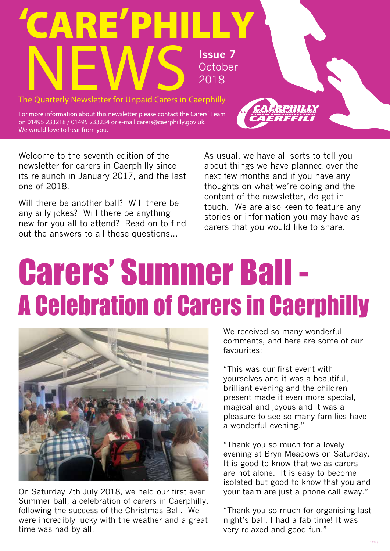

Welcome to the seventh edition of the newsletter for carers in Caerphilly since its relaunch in January 2017, and the last one of 2018.

Will there be another ball? Will there be any silly jokes? Will there be anything new for you all to attend? Read on to find out the answers to all these questions…

As usual, we have all sorts to tell you about things we have planned over the next few months and if you have any thoughts on what we're doing and the content of the newsletter, do get in touch. We are also keen to feature any stories or information you may have as carers that you would like to share.

### Carers' Summer Ball - A Celebration of Carers in Caerphilly ī



On Saturday 7th July 2018, we held our first ever Summer ball, a celebration of carers in Caerphilly, following the success of the Christmas Ball. We were incredibly lucky with the weather and a great time was had by all.

We received so many wonderful comments, and here are some of our favourites:

"This was our first event with yourselves and it was a beautiful, brilliant evening and the children present made it even more special, magical and joyous and it was a pleasure to see so many families have a wonderful evening."

"Thank you so much for a lovely evening at Bryn Meadows on Saturday. It is good to know that we as carers are not alone. It is easy to become isolated but good to know that you and your team are just a phone call away."

"Thank you so much for organising last night's ball. I had a fab time! It was very relaxed and good fun."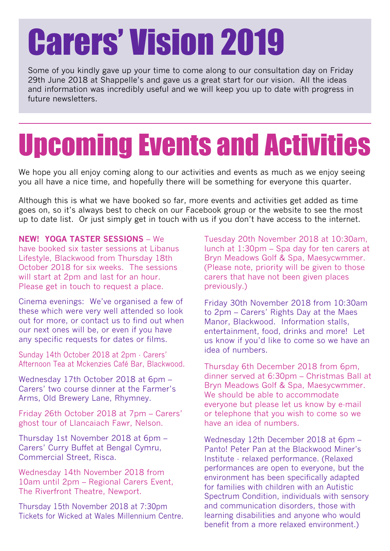### Carers' Vision 2019

Some of you kindly gave up your time to come along to our consultation day on Friday 29th June 2018 at Shappelle's and gave us a great start for our vision. All the ideas and information was incredibly useful and we will keep you up to date with progress in future newsletters.

### Upcoming Events and Activities

We hope you all enjoy coming along to our activities and events as much as we enjoy seeing you all have a nice time, and hopefully there will be something for everyone this quarter.

Although this is what we have booked so far, more events and activities get added as time goes on, so it's always best to check on our Facebook group or the website to see the most up to date list. Or just simply get in touch with us if you don't have access to the internet.

#### **NEW! YOGA TASTER SESSIONS** – We

have booked six taster sessions at Libanus Lifestyle, Blackwood from Thursday 18th October 2018 for six weeks. The sessions will start at 2pm and last for an hour. Please get in touch to request a place.

Cinema evenings: We've organised a few of these which were very well attended so look out for more, or contact us to find out when our next ones will be, or even if you have any specific requests for dates or films.

Sunday 14th October 2018 at 2pm - Carers' Afternoon Tea at Mckenzies Café Bar, Blackwood.

Wednesday 17th October 2018 at 6pm – Carers' two course dinner at the Farmer's Arms, Old Brewery Lane, Rhymney.

Friday 26th October 2018 at 7pm – Carers' ghost tour of Llancaiach Fawr, Nelson.

Thursday 1st November 2018 at 6pm – Carers' Curry Buffet at Bengal Cymru, Commercial Street, Risca.

Wednesday 14th November 2018 from 10am until 2pm – Regional Carers Event, The Riverfront Theatre, Newport.

Thursday 15th November 2018 at 7:30pm Tickets for Wicked at Wales Millennium Centre. Tuesday 20th November 2018 at 10:30am, lunch at 1:30pm – Spa day for ten carers at Bryn Meadows Golf & Spa, Maesycwmmer. (Please note, priority will be given to those carers that have not been given places previously.)

Friday 30th November 2018 from 10:30am to 2pm – Carers' Rights Day at the Maes Manor, Blackwood. Information stalls, entertainment, food, drinks and more! Let us know if you'd like to come so we have an idea of numbers.

Thursday 6th December 2018 from 6pm, dinner served at 6:30pm – Christmas Ball at Bryn Meadows Golf & Spa, Maesycwmmer. We should be able to accommodate everyone but please let us know by e-mail or telephone that you wish to come so we have an idea of numbers.

Wednesday 12th December 2018 at 6pm – Panto! Peter Pan at the Blackwood Miner's Institute - relaxed performance. (Relaxed performances are open to everyone, but the environment has been specifically adapted for families with children with an Autistic Spectrum Condition, individuals with sensory and communication disorders, those with learning disabilities and anyone who would benefit from a more relaxed environment.)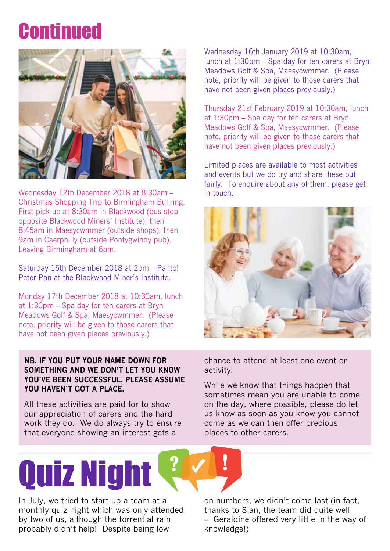### **Continued**



Wednesday 12th December 2018 at 8:30am – Christmas Shopping Trip to Birmingham Bullring. First pick up at 8:30am in Blackwood (bus stop opposite Blackwood Miners' Institute), then 8:45am in Maesycwmmer (outside shops), then 9am in Caerphilly (outside Pontygwindy pub). Leaving Birmingham at 6pm.

Saturday 15th December 2018 at 2pm – Panto! Peter Pan at the Blackwood Miner's Institute.

Monday 17th December 2018 at 10:30am, lunch at 1:30pm – Spa day for ten carers at Bryn Meadows Golf & Spa, Maesycwmmer. (Please note, priority will be given to those carers that have not been given places previously.)

#### **NB. IF YOU PUT YOUR NAME DOWN FOR SOMETHING AND WE DON'T LET YOU KNOW YOU'VE BEEN SUCCESSFUL, PLEASE ASSUME YOU HAVEN'T GOT A PLACE.**

All these activities are paid for to show our appreciation of carers and the hard work they do. We do always try to ensure that everyone showing an interest gets a

Wednesday 16th January 2019 at 10:30am, lunch at 1:30pm – Spa day for ten carers at Bryn Meadows Golf & Spa, Maesycwmmer. (Please note, priority will be given to those carers that have not been given places previously.)

Thursday 21st February 2019 at 10:30am, lunch at 1:30pm – Spa day for ten carers at Bryn Meadows Golf & Spa, Maesycwmmer. (Please note, priority will be given to those carers that have not been given places previously.)

Limited places are available to most activities and events but we do try and share these out fairly. To enquire about any of them, please get in touch.



chance to attend at least one event or activity.

While we know that things happen that sometimes mean you are unable to come on the day, where possible, please do let us know as soon as you know you cannot come as we can then offer precious places to other carers.

# Quiz Night

In July, we tried to start up a team at a monthly quiz night which was only attended by two of us, although the torrential rain probably didn't help! Despite being low

on numbers, we didn't come last (in fact, thanks to Sian, the team did quite well – Geraldine offered very little in the way of knowledge!)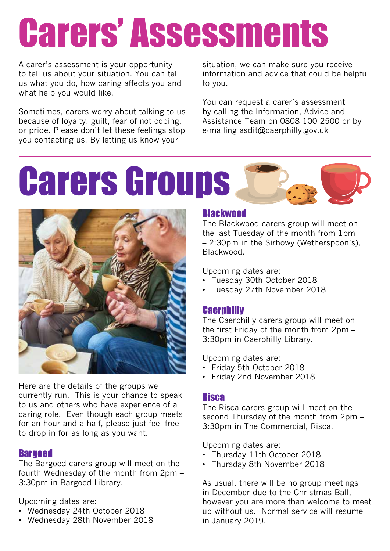## Carers' Assessments

A carer's assessment is your opportunity to tell us about your situation. You can tell us what you do, how caring affects you and what help you would like.

Sometimes, carers worry about talking to us because of loyalty, guilt, fear of not coping, or pride. Please don't let these feelings stop you contacting us. By letting us know your

situation, we can make sure you receive information and advice that could be helpful to you.

You can request a carer's assessment by calling the Information, Advice and Assistance Team on 0808 100 2500 or by e-mailing asdit@caerphilly.gov.uk





Here are the details of the groups we currently run. This is your chance to speak to us and others who have experience of a caring role. Even though each group meets for an hour and a half, please just feel free to drop in for as long as you want.

#### **Bargoed**

The Bargoed carers group will meet on the fourth Wednesday of the month from 2pm – 3:30pm in Bargoed Library.

Upcoming dates are:

- Wednesday 24th October 2018
- Wednesday 28th November 2018

#### **Blackwood**

The Blackwood carers group will meet on the last Tuesday of the month from 1pm – 2:30pm in the Sirhowy (Wetherspoon's), Blackwood.

Upcoming dates are:

- Tuesday 30th October 2018
- Tuesday 27th November 2018

#### **Caerphilly**

The Caerphilly carers group will meet on the first Friday of the month from 2pm – 3:30pm in Caerphilly Library.

Upcoming dates are:

- Friday 5th October 2018
- Friday 2nd November 2018

#### Risca

The Risca carers group will meet on the second Thursday of the month from 2pm – 3:30pm in The Commercial, Risca.

Upcoming dates are:

- Thursday 11th October 2018
- Thursday 8th November 2018

As usual, there will be no group meetings in December due to the Christmas Ball, however you are more than welcome to meet up without us. Normal service will resume in January 2019.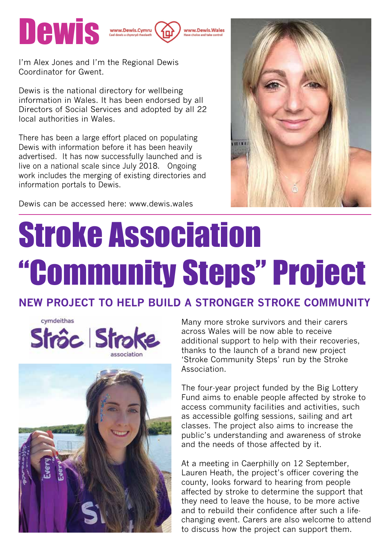

www.Dewis Wales

I'm Alex Jones and I'm the Regional Dewis Coordinator for Gwent.

Dewis is the national directory for wellbeing information in Wales. It has been endorsed by all Directors of Social Services and adopted by all 22 local authorities in Wales.

There has been a large effort placed on populating Dewis with information before it has been heavily advertised. It has now successfully launched and is live on a national scale since July 2018. Ongoing work includes the merging of existing directories and information portals to Dewis.



Dewis can be accessed here: www.dewis.wales

### Stroke Association "Community Steps" Project

#### **NEW PROJECT TO HELP BUILD A STRONGER STROKE COMMUNITY**





Many more stroke survivors and their carers across Wales will be now able to receive additional support to help with their recoveries, thanks to the launch of a brand new project 'Stroke Community Steps' run by the Stroke Association.

The four-year project funded by the Big Lottery Fund aims to enable people affected by stroke to access community facilities and activities, such as accessible golfing sessions, sailing and art classes. The project also aims to increase the public's understanding and awareness of stroke and the needs of those affected by it.

At a meeting in Caerphilly on 12 September, Lauren Heath, the project's officer covering the county, looks forward to hearing from people affected by stroke to determine the support that they need to leave the house, to be more active and to rebuild their confidence after such a lifechanging event. Carers are also welcome to attend to discuss how the project can support them.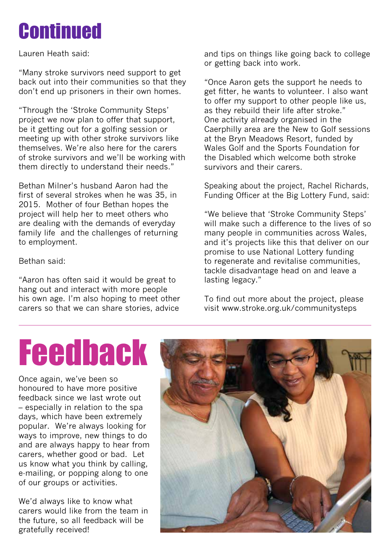### **Continued**

Lauren Heath said:

"Many stroke survivors need support to get back out into their communities so that they don't end up prisoners in their own homes.

"Through the 'Stroke Community Steps' project we now plan to offer that support, be it getting out for a golfing session or meeting up with other stroke survivors like themselves. We're also here for the carers of stroke survivors and we'll be working with them directly to understand their needs."

Bethan Milner's husband Aaron had the first of several strokes when he was 35, in 2015. Mother of four Bethan hopes the project will help her to meet others who are dealing with the demands of everyday family life and the challenges of returning to employment.

Bethan said:

"Aaron has often said it would be great to hang out and interact with more people his own age. I'm also hoping to meet other carers so that we can share stories, advice

and tips on things like going back to college or getting back into work.

"Once Aaron gets the support he needs to get fitter, he wants to volunteer. I also want to offer my support to other people like us, as they rebuild their life after stroke." One activity already organised in the Caerphilly area are the New to Golf sessions at the Bryn Meadows Resort, funded by Wales Golf and the Sports Foundation for the Disabled which welcome both stroke survivors and their carers.

Speaking about the project, Rachel Richards, Funding Officer at the Big Lottery Fund, said:

"We believe that 'Stroke Community Steps' will make such a difference to the lives of so many people in communities across Wales, and it's projects like this that deliver on our promise to use National Lottery funding to regenerate and revitalise communities, tackle disadvantage head on and leave a lasting legacy."

To find out more about the project, please visit www.stroke.org.uk/communitysteps

### Feedback

Once again, we've been so honoured to have more positive feedback since we last wrote out – especially in relation to the spa days, which have been extremely popular. We're always looking for ways to improve, new things to do and are always happy to hear from carers, whether good or bad. Let us know what you think by calling, e-mailing, or popping along to one of our groups or activities.

We'd always like to know what carers would like from the team in the future, so all feedback will be gratefully received!

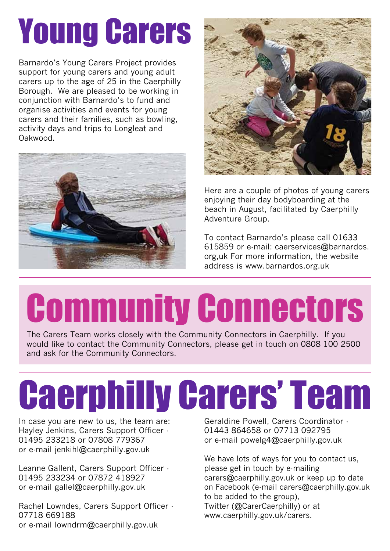## Young Carers

Barnardo's Young Carers Project provides support for young carers and young adult carers up to the age of 25 in the Caerphilly Borough. We are pleased to be working in conjunction with Barnardo's to fund and organise activities and events for young carers and their families, such as bowling, activity days and trips to Longleat and Oakwood.





Here are a couple of photos of young carers enjoying their day bodyboarding at the beach in August, facilitated by Caerphilly Adventure Group.

To contact Barnardo's please call 01633 615859 or e-mail: caerservices@barnardos. org,uk For more information, the website address is www.barnardos.org.uk

## Community Connectors

The Carers Team works closely with the Community Connectors in Caerphilly. If you would like to contact the Community Connectors, please get in touch on 0808 100 2500 and ask for the Community Connectors.

## Caerphilly Carers' Team

In case you are new to us, the team are: Hayley Jenkins, Carers Support Officer - 01495 233218 or 07808 779367 or e-mail jenkihl@caerphilly.gov.uk

Leanne Gallent, Carers Support Officer - 01495 233234 or 07872 418927 or e-mail gallel@caerphilly.gov.uk

Rachel Lowndes, Carers Support Officer - 07718 669188 or e-mail lowndrm@caerphilly.gov.uk

Geraldine Powell, Carers Coordinator - 01443 864658 or 07713 092795 or e-mail powelg4@caerphilly.gov.uk

We have lots of ways for you to contact us, please get in touch by e-mailing carers@caerphilly.gov.uk or keep up to date on Facebook (e-mail carers@caerphilly.gov.uk to be added to the group), Twitter (@CarerCaerphilly) or at www.caerphilly.gov.uk/carers.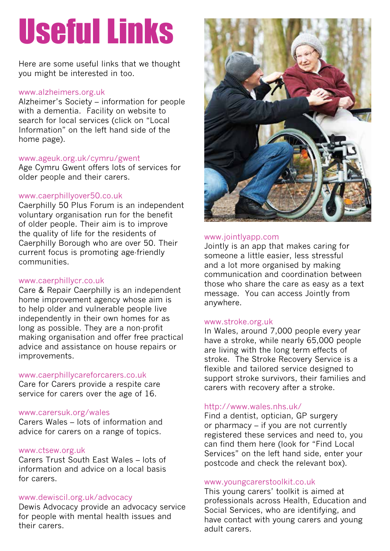### Useful Links

Here are some useful links that we thought you might be interested in too.

#### www.alzheimers.org.uk

Alzheimer's Society – information for people with a dementia. Facility on website to search for local services (click on "Local Information" on the left hand side of the home page).

#### www.ageuk.org.uk/cymru/gwent

Age Cymru Gwent offers lots of services for older people and their carers.

#### www.caerphillyover50.co.uk

Caerphilly 50 Plus Forum is an independent voluntary organisation run for the benefit of older people. Their aim is to improve the quality of life for the residents of Caerphilly Borough who are over 50. Their current focus is promoting age-friendly communities.

#### www.caerphillycr.co.uk

Care & Repair Caerphilly is an independent home improvement agency whose aim is to help older and vulnerable people live independently in their own homes for as long as possible. They are a non-profit making organisation and offer free practical advice and assistance on house repairs or improvements.

#### www.caerphillycareforcarers.co.uk

Care for Carers provide a respite care service for carers over the age of 16.

#### www.carersuk.org/wales

Carers Wales – lots of information and advice for carers on a range of topics.

#### www.ctsew.org.uk

Carers Trust South East Wales – lots of information and advice on a local basis for carers.

#### www.dewiscil.org.uk/advocacy

Dewis Advocacy provide an advocacy service for people with mental health issues and their carers.



#### www.jointlyapp.com

Jointly is an app that makes caring for someone a little easier, less stressful and a lot more organised by making communication and coordination between those who share the care as easy as a text message. You can access Jointly from anywhere.

#### www.stroke.org.uk

In Wales, around 7,000 people every year have a stroke, while nearly 65,000 people are living with the long term effects of stroke. The Stroke Recovery Service is a flexible and tailored service designed to support stroke survivors, their families and carers with recovery after a stroke.

#### http://www.wales.nhs.uk/

Find a dentist, optician, GP surgery or pharmacy – if you are not currently registered these services and need to, you can find them here (look for "Find Local Services" on the left hand side, enter your postcode and check the relevant box).

#### www.youngcarerstoolkit.co.uk

This young carers' toolkit is aimed at professionals across Health, Education and Social Services, who are identifying, and have contact with young carers and young adult carers.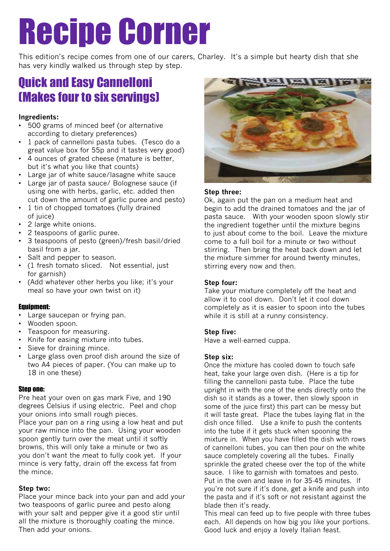### Recipe Corner

This edition's recipe comes from one of our carers, Charley. It's a simple but hearty dish that she has very kindly walked us through step by step.

#### Quick and Easy Cannelloni (Makes four to six servings)

#### **Ingredients:**

- 500 grams of minced beef (or alternative according to dietary preferences)
- 1 pack of cannelloni pasta tubes. (Tesco do a great value box for 55p and it tastes very good)
- 4 ounces of grated cheese (mature is better, but it's what you like that counts)
- Large jar of white sauce/lasagne white sauce
- Large jar of pasta sauce/ Bolognese sauce (if using one with herbs, garlic, etc. added then cut down the amount of garlic puree and pesto)
- 1 tin of chopped tomatoes (fully drained of juice)
- 2 large white onions.
- 2 teaspoons of garlic puree.
- 3 teaspoons of pesto (green)/fresh basil/dried basil from a jar.
- Salt and pepper to season.
- (1 fresh tomato sliced. Not essential, just for garnish)
- (Add whatever other herbs you like; it's your meal so have your own twist on it)

#### Equipment:

- Large saucepan or frying pan.
- Wooden spoon.
- Teaspoon for measuring.
- Knife for easing mixture into tubes.
- Sieve for draining mince.
- Large glass oven proof dish around the size of two A4 pieces of paper. (You can make up to 18 in one these)

#### Step one:

Pre heat your oven on gas mark Five, and 190 degrees Celsius if using electric. Peel and chop your onions into small rough pieces. Place your pan on a ring using a low heat and put your raw mince into the pan. Using your wooden spoon gently turn over the meat until it softly browns, this will only take a minute or two as you don't want the meat to fully cook yet. If your mince is very fatty, drain off the excess fat from the mince.

#### **Step two:**

Place your mince back into your pan and add your two teaspoons of garlic puree and pesto along with your salt and pepper give it a good stir until all the mixture is thoroughly coating the mince. Then add your onions.



#### **Step three:**

Ok, again put the pan on a medium heat and begin to add the drained tomatoes and the jar of pasta sauce. With your wooden spoon slowly stir the ingredient together until the mixture begins to just about come to the boil. Leave the mixture come to a full boil for a minute or two without stirring. Then bring the heat back down and let the mixture simmer for around twenty minutes, stirring every now and then.

#### **Step four:**

Take your mixture completely off the heat and allow it to cool down. Don't let it cool down completely as it is easier to spoon into the tubes while it is still at a runny consistency.

#### **Step five:**

Have a well-earned cuppa.

#### **Step six:**

Once the mixture has cooled down to touch safe heat, take your large oven dish. (Here is a tip for filling the cannelloni pasta tube. Place the tube upright in with the one of the ends directly onto the dish so it stands as a tower, then slowly spoon in some of the juice first) this part can be messy but it will taste great. Place the tubes laying flat in the dish once filled. Use a knife to push the contents into the tube if it gets stuck when spooning the mixture in. When you have filled the dish with rows of cannelloni tubes, you can then pour on the white sauce completely covering all the tubes. Finally sprinkle the grated cheese over the top of the white sauce. I like to garnish with tomatoes and pesto. Put in the oven and leave in for 35-45 minutes. If you're not sure if it's done, get a knife and push into the pasta and if it's soft or not resistant against the blade then it's ready.

This meal can feed up to five people with three tubes each. All depends on how big you like your portions. Good luck and enjoy a lovely Italian feast.